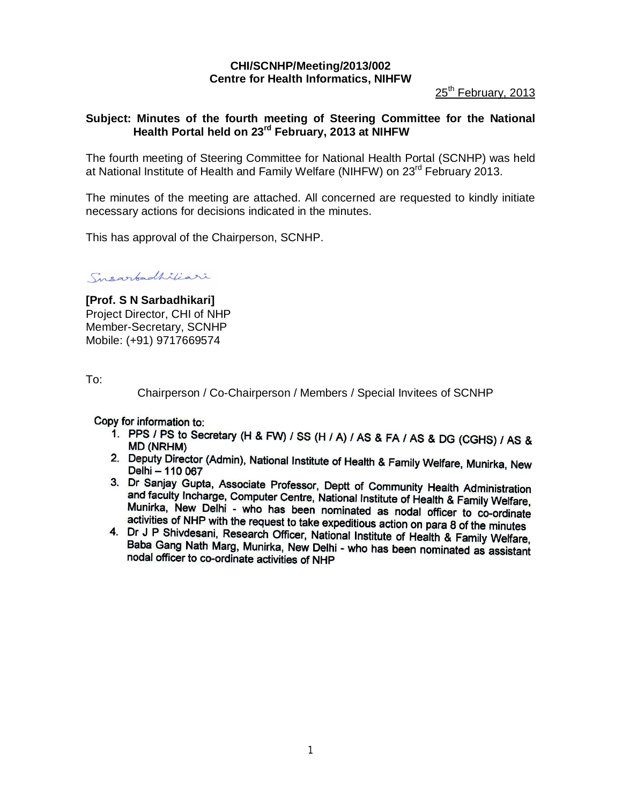# **CHI/SCNHP/Meeting/2013/002 Centre for Health Informatics, NIHFW**

25<sup>th</sup> February, 2013

## **Subject: Minutes of the fourth meeting of Steering Committee for the National Health Portal held on 23 rd February, 2013 at NIHFW**

The fourth meeting of Steering Committee for National Health Portal (SCNHP) was held at National Institute of Health and Family Welfare (NIHFW) on 23<sup>rd</sup> February 2013.

The minutes of the meeting are attached. All concerned are requested to kindly initiate necessary actions for decisions indicated in the minutes.

This has approval of the Chairperson, SCNHP.

Susarbadhiliari

**[Prof. S N Sarbadhikari]** Project Director, CHI of NHP Member-Secretary, SCNHP Mobile: (+91) 9717669574

To:

Chairperson / Co-Chairperson / Members / Special Invitees of SCNHP

Copy for information to:

- 1. PPS / PS to Secretary (H & FW) / SS (H / A) / AS & FA / AS & DG (CGHS) / AS & **MD (NRHM)**
- 2. Deputy Director (Admin), National Institute of Health & Family Welfare, Munirka, New Delhi - 110 067
- 3. Dr Sanjay Gupta, Associate Professor, Deptt of Community Health Administration and faculty Incherge, Computer Centre, National Institute of Health & Family Welfare, Munirka, New Delhi - who has been nominated as nodal officer to co-ordinate activities of NHP with the request to take expeditious action on para 8 of the minutes
- 4. Dr J P Shivdesni, Research Officer, National Institute of Health & Family Welfare, Baba Gang Nath Marg, Munirka, New Delhi - who has been nominated as assistant nodal officer to co-ordinate activities of NHP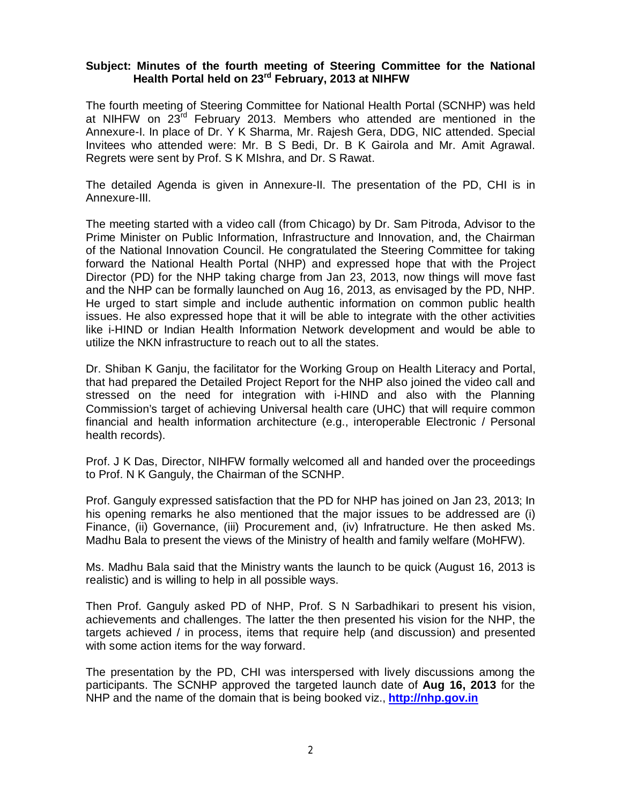### **Subject: Minutes of the fourth meeting of Steering Committee for the National Health Portal held on 23rd February, 2013 at NIHFW**

The fourth meeting of Steering Committee for National Health Portal (SCNHP) was held at NIHFW on 23rd February 2013. Members who attended are mentioned in the Annexure-I. In place of Dr. Y K Sharma, Mr. Rajesh Gera, DDG, NIC attended. Special Invitees who attended were: Mr. B S Bedi, Dr. B K Gairola and Mr. Amit Agrawal. Regrets were sent by Prof. S K MIshra, and Dr. S Rawat.

The detailed Agenda is given in Annexure-II. The presentation of the PD, CHI is in Annexure-III.

The meeting started with a video call (from Chicago) by Dr. Sam Pitroda, Advisor to the Prime Minister on Public Information, Infrastructure and Innovation, and, the Chairman of the National Innovation Council. He congratulated the Steering Committee for taking forward the National Health Portal (NHP) and expressed hope that with the Project Director (PD) for the NHP taking charge from Jan 23, 2013, now things will move fast and the NHP can be formally launched on Aug 16, 2013, as envisaged by the PD, NHP. He urged to start simple and include authentic information on common public health issues. He also expressed hope that it will be able to integrate with the other activities like i-HIND or Indian Health Information Network development and would be able to utilize the NKN infrastructure to reach out to all the states.

Dr. Shiban K Ganju, the facilitator for the Working Group on Health Literacy and Portal, that had prepared the Detailed Project Report for the NHP also joined the video call and stressed on the need for integration with i-HIND and also with the Planning Commission's target of achieving Universal health care (UHC) that will require common financial and health information architecture (e.g., interoperable Electronic / Personal health records).

Prof. J K Das, Director, NIHFW formally welcomed all and handed over the proceedings to Prof. N K Ganguly, the Chairman of the SCNHP.

Prof. Ganguly expressed satisfaction that the PD for NHP has joined on Jan 23, 2013; In his opening remarks he also mentioned that the major issues to be addressed are (i) Finance, (ii) Governance, (iii) Procurement and, (iv) Infratructure. He then asked Ms. Madhu Bala to present the views of the Ministry of health and family welfare (MoHFW).

Ms. Madhu Bala said that the Ministry wants the launch to be quick (August 16, 2013 is realistic) and is willing to help in all possible ways.

Then Prof. Ganguly asked PD of NHP, Prof. S N Sarbadhikari to present his vision, achievements and challenges. The latter the then presented his vision for the NHP, the targets achieved / in process, items that require help (and discussion) and presented with some action items for the way forward.

The presentation by the PD, CHI was interspersed with lively discussions among the participants. The SCNHP approved the targeted launch date of **Aug 16, 2013** for the NHP and the name of the domain that is being booked viz., **http://nhp.gov.in**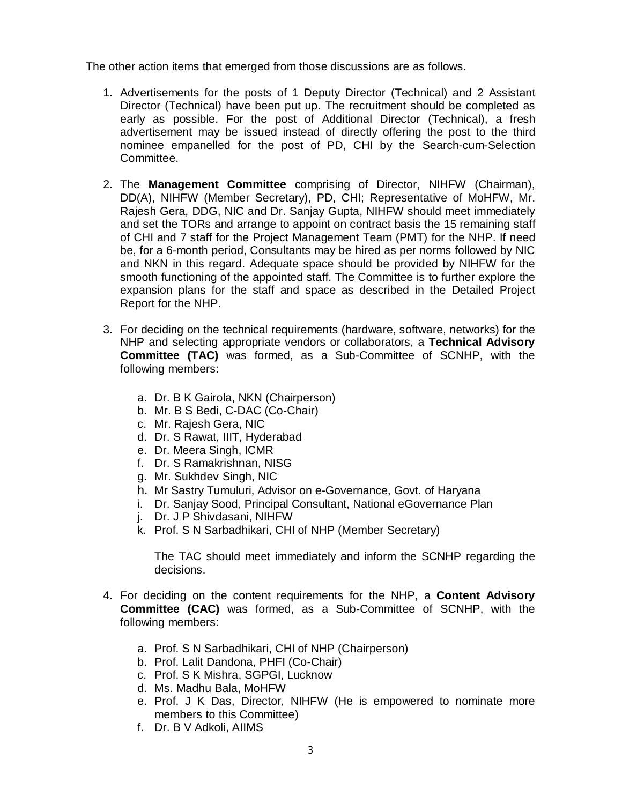The other action items that emerged from those discussions are as follows.

- 1. Advertisements for the posts of 1 Deputy Director (Technical) and 2 Assistant Director (Technical) have been put up. The recruitment should be completed as early as possible. For the post of Additional Director (Technical), a fresh advertisement may be issued instead of directly offering the post to the third nominee empanelled for the post of PD, CHI by the Search-cum-Selection Committee.
- 2. The **Management Committee** comprising of Director, NIHFW (Chairman), DD(A), NIHFW (Member Secretary), PD, CHI; Representative of MoHFW, Mr. Rajesh Gera, DDG, NIC and Dr. Sanjay Gupta, NIHFW should meet immediately and set the TORs and arrange to appoint on contract basis the 15 remaining staff of CHI and 7 staff for the Project Management Team (PMT) for the NHP. If need be, for a 6-month period, Consultants may be hired as per norms followed by NIC and NKN in this regard. Adequate space should be provided by NIHFW for the smooth functioning of the appointed staff. The Committee is to further explore the expansion plans for the staff and space as described in the Detailed Project Report for the NHP.
- 3. For deciding on the technical requirements (hardware, software, networks) for the NHP and selecting appropriate vendors or collaborators, a **Technical Advisory Committee (TAC)** was formed, as a Sub-Committee of SCNHP, with the following members:
	- a. Dr. B K Gairola, NKN (Chairperson)
	- b. Mr. B S Bedi, C-DAC (Co-Chair)
	- c. Mr. Rajesh Gera, NIC
	- d. Dr. S Rawat, IIIT, Hyderabad
	- e. Dr. Meera Singh, ICMR
	- f. Dr. S Ramakrishnan, NISG
	- g. Mr. Sukhdev Singh, NIC
	- h. Mr Sastry Tumuluri, Advisor on e-Governance, Govt. of Haryana
	- i. Dr. Sanjay Sood, Principal Consultant, National eGovernance Plan
	- j. Dr. J P Shivdasani, NIHFW
	- k. Prof. S N Sarbadhikari, CHI of NHP (Member Secretary)

The TAC should meet immediately and inform the SCNHP regarding the decisions.

- 4. For deciding on the content requirements for the NHP, a **Content Advisory Committee (CAC)** was formed, as a Sub-Committee of SCNHP, with the following members:
	- a. Prof. S N Sarbadhikari, CHI of NHP (Chairperson)
	- b. Prof. Lalit Dandona, PHFI (Co-Chair)
	- c. Prof. S K Mishra, SGPGI, Lucknow
	- d. Ms. Madhu Bala, MoHFW
	- e. Prof. J K Das, Director, NIHFW (He is empowered to nominate more members to this Committee)
	- f. Dr. B V Adkoli, AIIMS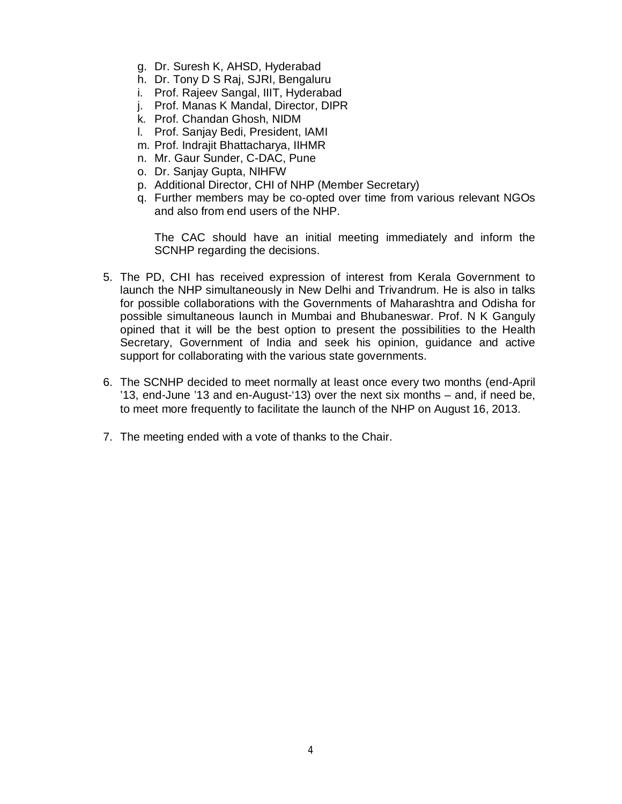- g. Dr. Suresh K, AHSD, Hyderabad
- h. Dr. Tony D S Raj, SJRI, Bengaluru
- i. Prof. Rajeev Sangal, IIIT, Hyderabad
- j. Prof. Manas K Mandal, Director, DIPR
- k. Prof. Chandan Ghosh, NIDM
- l. Prof. Sanjay Bedi, President, IAMI
- m. Prof. Indrajit Bhattacharya, IIHMR
- n. Mr. Gaur Sunder, C-DAC, Pune
- o. Dr. Sanjay Gupta, NIHFW
- p. Additional Director, CHI of NHP (Member Secretary)
- q. Further members may be co-opted over time from various relevant NGOs and also from end users of the NHP.

The CAC should have an initial meeting immediately and inform the SCNHP regarding the decisions.

- 5. The PD, CHI has received expression of interest from Kerala Government to launch the NHP simultaneously in New Delhi and Trivandrum. He is also in talks for possible collaborations with the Governments of Maharashtra and Odisha for possible simultaneous launch in Mumbai and Bhubaneswar. Prof. N K Ganguly opined that it will be the best option to present the possibilities to the Health Secretary, Government of India and seek his opinion, guidance and active support for collaborating with the various state governments.
- 6. The SCNHP decided to meet normally at least once every two months (end-April '13, end-June '13 and en-August-'13) over the next six months – and, if need be, to meet more frequently to facilitate the launch of the NHP on August 16, 2013.
- 7. The meeting ended with a vote of thanks to the Chair.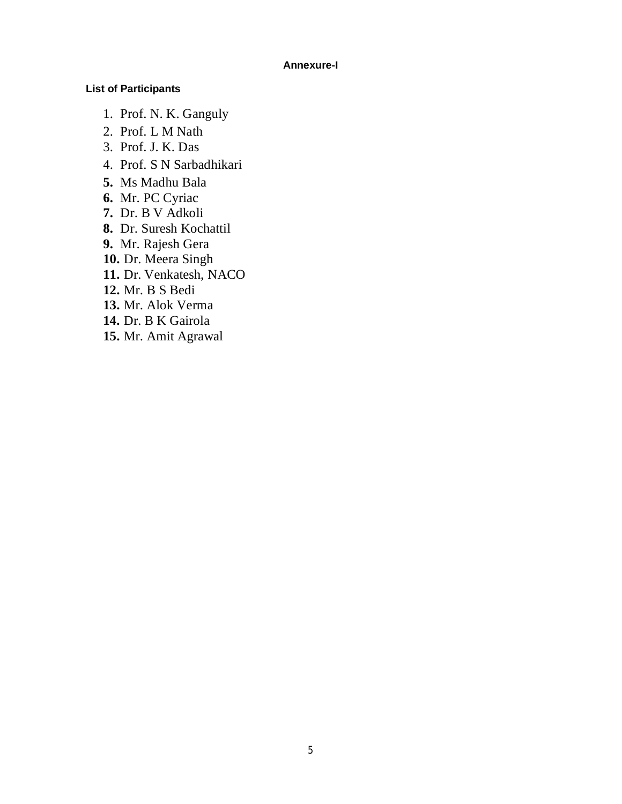#### **Annexure-I**

### **List of Participants**

- 1. Prof. N. K. Ganguly
- 2. Prof. L M Nath
- 3. Prof. J. K. Das
- 4. Prof. S N Sarbadhikari
- **5.** Ms Madhu Bala
- **6.** Mr. PC Cyriac
- **7.** Dr. B V Adkoli
- **8.** Dr. Suresh Kochattil
- **9.** Mr. Rajesh Gera
- **10.** Dr. Meera Singh
- **11.** Dr. Venkatesh, NACO
- **12.** Mr. B S Bedi
- **13.** Mr. Alok Verma
- **14.** Dr. B K Gairola
- **15.** Mr. Amit Agrawal